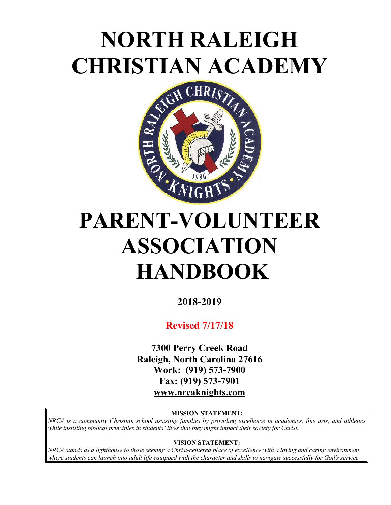# **NORTH RALEIGH CHRISTIAN ACADEMY**



# **PARENT-VOLUNTEER ASSOCIATION HANDBOOK**

**2018-2019**

**Revised 7/17/18**

**7300 Perry Creek Road Raleigh, North Carolina 27616 Work: (919) 573-7900 Fax: (919) 573-7901 www.nrcaknights.com**

#### **MISSION STATEMENT:**

*NRCA is a community Christian school assisting families by providing excellence in academics, fine arts, and athletics while instilling biblical principles in students' lives that they might impact their society for Christ.* 

**VISION STATEMENT:**

*NRCA stands as a lighthouse to those seeking a Christ-centered place of excellence with a loving and caring environment where students can launch into adult life equipped with the character and skills to navigate successfully for God's service.*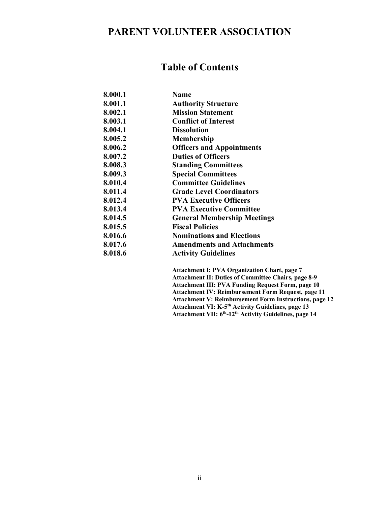# **PARENT VOLUNTEER ASSOCIATION**

# **Table of Contents**

| 8.000.1 | <b>Name</b>                        |
|---------|------------------------------------|
| 8.001.1 | <b>Authority Structure</b>         |
| 8.002.1 | <b>Mission Statement</b>           |
| 8.003.1 | <b>Conflict of Interest</b>        |
| 8.004.1 | <b>Dissolution</b>                 |
| 8.005.2 | <b>Membership</b>                  |
| 8.006.2 | <b>Officers and Appointments</b>   |
| 8.007.2 | <b>Duties of Officers</b>          |
| 8.008.3 | <b>Standing Committees</b>         |
| 8.009.3 | <b>Special Committees</b>          |
| 8.010.4 | <b>Committee Guidelines</b>        |
| 8.011.4 | <b>Grade Level Coordinators</b>    |
| 8.012.4 | <b>PVA Executive Officers</b>      |
| 8.013.4 | <b>PVA Executive Committee</b>     |
| 8.014.5 | <b>General Membership Meetings</b> |
| 8.015.5 | <b>Fiscal Policies</b>             |
| 8.016.6 | <b>Nominations and Elections</b>   |
| 8.017.6 | <b>Amendments and Attachments</b>  |
| 8.018.6 | <b>Activity Guidelines</b>         |

 **Attachment I: PVA Organization Chart, page 7 Attachment II: Duties of Committee Chairs, page 8-9 Attachment III: PVA Funding Request Form, page 10 Attachment IV: Reimbursement Form Request, page 11 Attachment V: Reimbursement Form Instructions, page 12 Attachment VI: K-5th Activity Guidelines, page 13 Attachment VII: 6th-12th Activity Guidelines, page 14**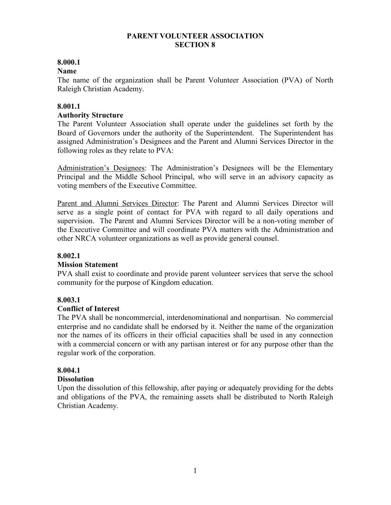## **PARENT VOLUNTEER ASSOCIATION SECTION 8**

# **8.000.1**

## **Name**

The name of the organization shall be Parent Volunteer Association (PVA) of North Raleigh Christian Academy.

## **8.001.1**

### **Authority Structure**

The Parent Volunteer Association shall operate under the guidelines set forth by the Board of Governors under the authority of the Superintendent. The Superintendent has assigned Administration's Designees and the Parent and Alumni Services Director in the following roles as they relate to PVA:

Administration's Designees: The Administration's Designees will be the Elementary Principal and the Middle School Principal, who will serve in an advisory capacity as voting members of the Executive Committee.

Parent and Alumni Services Director: The Parent and Alumni Services Director will serve as a single point of contact for PVA with regard to all daily operations and supervision. The Parent and Alumni Services Director will be a non-voting member of the Executive Committee and will coordinate PVA matters with the Administration and other NRCA volunteer organizations as well as provide general counsel.

#### **8.002.1**

# **Mission Statement**

PVA shall exist to coordinate and provide parent volunteer services that serve the school community for the purpose of Kingdom education.

# **8.003.1**

# **Conflict of Interest**

The PVA shall be noncommercial, interdenominational and nonpartisan. No commercial enterprise and no candidate shall be endorsed by it. Neither the name of the organization nor the names of its officers in their official capacities shall be used in any connection with a commercial concern or with any partisan interest or for any purpose other than the regular work of the corporation.

# **8.004.1**

#### **Dissolution**

Upon the dissolution of this fellowship, after paying or adequately providing for the debts and obligations of the PVA, the remaining assets shall be distributed to North Raleigh Christian Academy.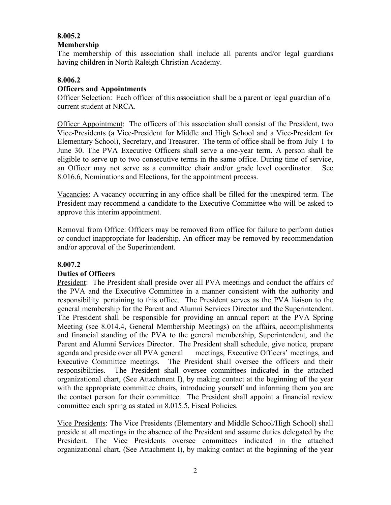# **8.005.2**

## **Membership**

The membership of this association shall include all parents and/or legal guardians having children in North Raleigh Christian Academy.

#### **8.006.2 Officers and Appointments**

Officer Selection: Each officer of this association shall be a parent or legal guardian of a current student at NRCA.

Officer Appointment: The officers of this association shall consist of the President, two Vice-Presidents (a Vice-President for Middle and High School and a Vice-President for Elementary School), Secretary, and Treasurer. The term of office shall be from July 1 to June 30. The PVA Executive Officers shall serve a one-year term. A person shall be eligible to serve up to two consecutive terms in the same office. During time of service, an Officer may not serve as a committee chair and/or grade level coordinator. See 8.016.6, Nominations and Elections, for the appointment process.

Vacancies: A vacancy occurring in any office shall be filled for the unexpired term. The President may recommend a candidate to the Executive Committee who will be asked to approve this interim appointment.

Removal from Office: Officers may be removed from office for failure to perform duties or conduct inappropriate for leadership. An officer may be removed by recommendation and/or approval of the Superintendent.

# **8.007.2**

# **Duties of Officers**

President: The President shall preside over all PVA meetings and conduct the affairs of the PVA and the Executive Committee in a manner consistent with the authority and responsibility pertaining to this office. The President serves as the PVA liaison to the general membership for the Parent and Alumni Services Director and the Superintendent. The President shall be responsible for providing an annual report at the PVA Spring Meeting (see 8.014.4, General Membership Meetings) on the affairs, accomplishments and financial standing of the PVA to the general membership, Superintendent, and the Parent and Alumni Services Director. The President shall schedule, give notice, prepare agenda and preside over all PVA general meetings, Executive Officers' meetings, and Executive Committee meetings. The President shall oversee the officers and their responsibilities. The President shall oversee committees indicated in the attached organizational chart, (See Attachment I), by making contact at the beginning of the year with the appropriate committee chairs, introducing yourself and informing them you are the contact person for their committee. The President shall appoint a financial review committee each spring as stated in 8.015.5, Fiscal Policies.

Vice Presidents: The Vice Presidents (Elementary and Middle School/High School) shall preside at all meetings in the absence of the President and assume duties delegated by the President. The Vice Presidents oversee committees indicated in the attached organizational chart, (See Attachment I), by making contact at the beginning of the year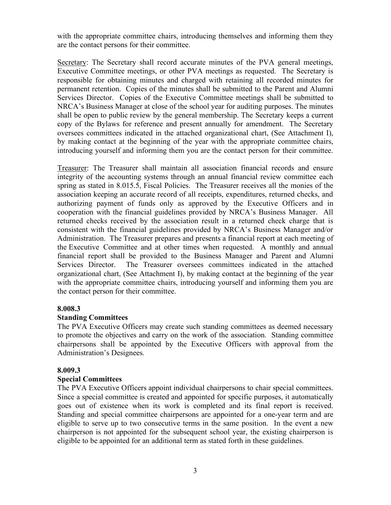with the appropriate committee chairs, introducing themselves and informing them they are the contact persons for their committee.

Secretary: The Secretary shall record accurate minutes of the PVA general meetings, Executive Committee meetings, or other PVA meetings as requested. The Secretary is responsible for obtaining minutes and charged with retaining all recorded minutes for permanent retention. Copies of the minutes shall be submitted to the Parent and Alumni Services Director. Copies of the Executive Committee meetings shall be submitted to NRCA's Business Manager at close of the school year for auditing purposes. The minutes shall be open to public review by the general membership. The Secretary keeps a current copy of the Bylaws for reference and present annually for amendment. The Secretary oversees committees indicated in the attached organizational chart, (See Attachment I), by making contact at the beginning of the year with the appropriate committee chairs, introducing yourself and informing them you are the contact person for their committee.

Treasurer: The Treasurer shall maintain all association financial records and ensure integrity of the accounting systems through an annual financial review committee each spring as stated in 8.015.5, Fiscal Policies. The Treasurer receives all the monies of the association keeping an accurate record of all receipts, expenditures, returned checks, and authorizing payment of funds only as approved by the Executive Officers and in cooperation with the financial guidelines provided by NRCA's Business Manager. All returned checks received by the association result in a returned check charge that is consistent with the financial guidelines provided by NRCA's Business Manager and/or Administration. The Treasurer prepares and presents a financial report at each meeting of the Executive Committee and at other times when requested. A monthly and annual financial report shall be provided to the Business Manager and Parent and Alumni Services Director. The Treasurer oversees committees indicated in the attached organizational chart, (See Attachment I), by making contact at the beginning of the year with the appropriate committee chairs, introducing yourself and informing them you are the contact person for their committee.

#### **8.008.3**

# **Standing Committees**

The PVA Executive Officers may create such standing committees as deemed necessary to promote the objectives and carry on the work of the association. Standing committee chairpersons shall be appointed by the Executive Officers with approval from the Administration's Designees.

# **8.009.3**

# **Special Committees**

The PVA Executive Officers appoint individual chairpersons to chair special committees. Since a special committee is created and appointed for specific purposes, it automatically goes out of existence when its work is completed and its final report is received. Standing and special committee chairpersons are appointed for a one-year term and are eligible to serve up to two consecutive terms in the same position. In the event a new chairperson is not appointed for the subsequent school year, the existing chairperson is eligible to be appointed for an additional term as stated forth in these guidelines.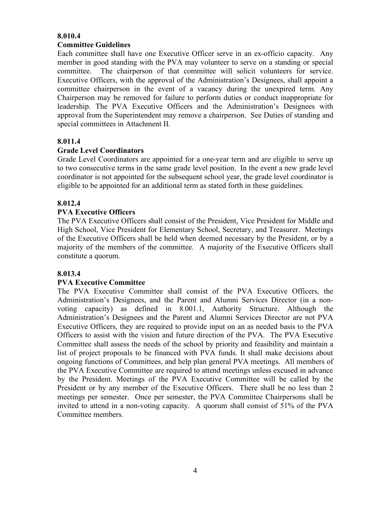## **8.010.4**

#### **Committee Guidelines**

Each committee shall have one Executive Officer serve in an ex-officio capacity. Any member in good standing with the PVA may volunteer to serve on a standing or special committee. The chairperson of that committee will solicit volunteers for service. Executive Officers, with the approval of the Administration's Designees, shall appoint a committee chairperson in the event of a vacancy during the unexpired term. Any Chairperson may be removed for failure to perform duties or conduct inappropriate for leadership. The PVA Executive Officers and the Administration's Designees with approval from the Superintendent may remove a chairperson. See Duties of standing and special committees in Attachment II.

### **8.011.4**

### **Grade Level Coordinators**

Grade Level Coordinators are appointed for a one-year term and are eligible to serve up to two consecutive terms in the same grade level position. In the event a new grade level coordinator is not appointed for the subsequent school year, the grade level coordinator is eligible to be appointed for an additional term as stated forth in these guidelines.

### **8.012.4**

### **PVA Executive Officers**

The PVA Executive Officers shall consist of the President, Vice President for Middle and High School, Vice President for Elementary School, Secretary, and Treasurer.Meetings of the Executive Officers shall be held when deemed necessary by the President, or by a majority of the members of the committee. A majority of the Executive Officers shall constitute a quorum.

#### **8.013.4**

#### **PVA Executive Committee**

The PVA Executive Committee shall consist of the PVA Executive Officers, the Administration's Designees, and the Parent and Alumni Services Director (in a nonvoting capacity) as defined in 8.001.1, Authority Structure. Although the Administration's Designees and the Parent and Alumni Services Director are not PVA Executive Officers, they are required to provide input on an as needed basis to the PVA Officers to assist with the vision and future direction of the PVA. The PVA Executive Committee shall assess the needs of the school by priority and feasibility and maintain a list of project proposals to be financed with PVA funds. It shall make decisions about ongoing functions of Committees, and help plan general PVA meetings. All members of the PVA Executive Committee are required to attend meetings unless excused in advance by the President. Meetings of the PVA Executive Committee will be called by the President or by any member of the Executive Officers. There shall be no less than 2 meetings per semester. Once per semester, the PVA Committee Chairpersons shall be invited to attend in a non-voting capacity. A quorum shall consist of 51% of the PVA Committee members.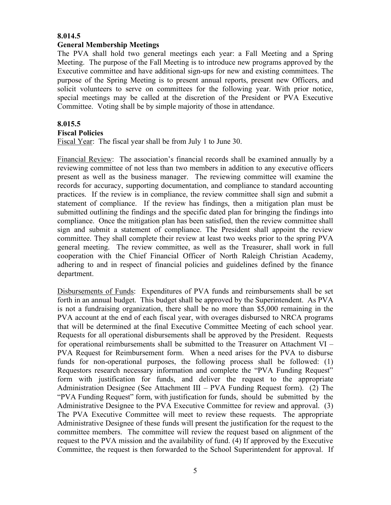#### **8.014.5**

#### **General Membership Meetings**

The PVA shall hold two general meetings each year: a Fall Meeting and a Spring Meeting. The purpose of the Fall Meeting is to introduce new programs approved by the Executive committee and have additional sign-ups for new and existing committees. The purpose of the Spring Meeting is to present annual reports, present new Officers, and solicit volunteers to serve on committees for the following year. With prior notice, special meetings may be called at the discretion of the President or PVA Executive Committee. Voting shall be by simple majority of those in attendance.

### **8.015.5**

#### **Fiscal Policies**

Fiscal Year:The fiscal year shall be from July 1 to June 30.

Financial Review: The association's financial records shall be examined annually by a reviewing committee of not less than two members in addition to any executive officers present as well as the business manager. The reviewing committee will examine the records for accuracy, supporting documentation, and compliance to standard accounting practices. If the review is in compliance, the review committee shall sign and submit a statement of compliance. If the review has findings, then a mitigation plan must be submitted outlining the findings and the specific dated plan for bringing the findings into compliance. Once the mitigation plan has been satisfied, then the review committee shall sign and submit a statement of compliance. The President shall appoint the review committee. They shall complete their review at least two weeks prior to the spring PVA general meeting. The review committee, as well as the Treasurer, shall work in full cooperation with the Chief Financial Officer of North Raleigh Christian Academy, adhering to and in respect of financial policies and guidelines defined by the finance department.

Disbursements of Funds: Expenditures of PVA funds and reimbursements shall be set forth in an annual budget. This budget shall be approved by the Superintendent. As PVA is not a fundraising organization, there shall be no more than \$5,000 remaining in the PVA account at the end of each fiscal year, with overages disbursed to NRCA programs that will be determined at the final Executive Committee Meeting of each school year. Requests for all operational disbursements shall be approved by the President. Requests for operational reimbursements shall be submitted to the Treasurer on Attachment VI – PVA Request for Reimbursement form. When a need arises for the PVA to disburse funds for non-operational purposes, the following process shall be followed: (1) Requestors research necessary information and complete the "PVA Funding Request" form with justification for funds, and deliver the request to the appropriate Administration Designee (See Attachment III – PVA Funding Request form). (2) The "PVA Funding Request" form, with justification for funds, should be submitted by the Administrative Designee to the PVA Executive Committee for review and approval. (3) The PVA Executive Committee will meet to review these requests. The appropriate Administrative Designee of these funds will present the justification for the request to the committee members. The committee will review the request based on alignment of the request to the PVA mission and the availability of fund. (4) If approved by the Executive Committee, the request is then forwarded to the School Superintendent for approval. If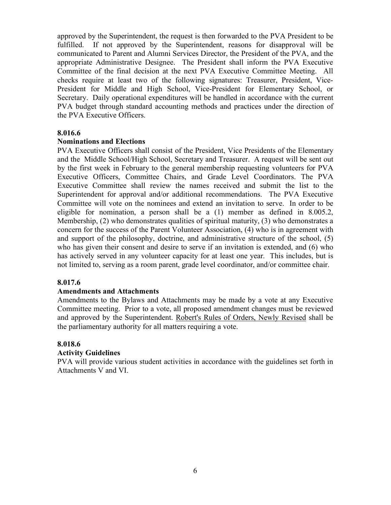approved by the Superintendent, the request is then forwarded to the PVA President to be fulfilled. If not approved by the Superintendent, reasons for disapproval will be communicated to Parent and Alumni Services Director, the President of the PVA, and the appropriate Administrative Designee. The President shall inform the PVA Executive Committee of the final decision at the next PVA Executive Committee Meeting. All checks require at least two of the following signatures: Treasurer, President, Vice-President for Middle and High School, Vice-President for Elementary School, or Secretary. Daily operational expenditures will be handled in accordance with the current PVA budget through standard accounting methods and practices under the direction of the PVA Executive Officers.

#### **8.016.6**

#### **Nominations and Elections**

PVA Executive Officers shall consist of the President, Vice Presidents of the Elementary and the Middle School/High School, Secretary and Treasurer. A request will be sent out by the first week in February to the general membership requesting volunteers for PVA Executive Officers, Committee Chairs, and Grade Level Coordinators. The PVA Executive Committee shall review the names received and submit the list to the Superintendent for approval and/or additional recommendations. The PVA Executive Committee will vote on the nominees and extend an invitation to serve. In order to be eligible for nomination, a person shall be a (1) member as defined in 8.005.2, Membership, (2) who demonstrates qualities of spiritual maturity, (3) who demonstrates a concern for the success of the Parent Volunteer Association, (4) who is in agreement with and support of the philosophy, doctrine, and administrative structure of the school, (5) who has given their consent and desire to serve if an invitation is extended, and (6) who has actively served in any volunteer capacity for at least one year. This includes, but is not limited to, serving as a room parent, grade level coordinator, and/or committee chair.

#### **8.017.6**

#### **Amendments and Attachments**

Amendments to the Bylaws and Attachments may be made by a vote at any Executive Committee meeting. Prior to a vote, all proposed amendment changes must be reviewed and approved by the Superintendent. Robert's Rules of Orders, Newly Revised shall be the parliamentary authority for all matters requiring a vote.

#### **8.018.6**

#### **Activity Guidelines**

PVA will provide various student activities in accordance with the guidelines set forth in Attachments V and VI.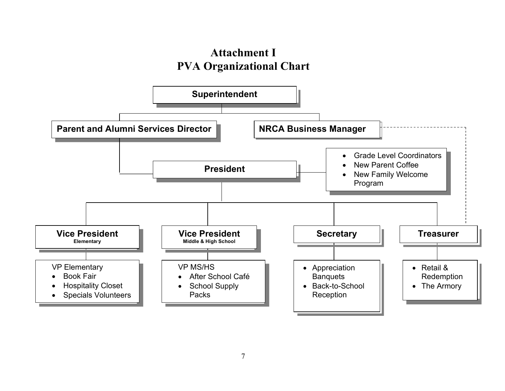# **Attachment I PVA Organizational Chart**

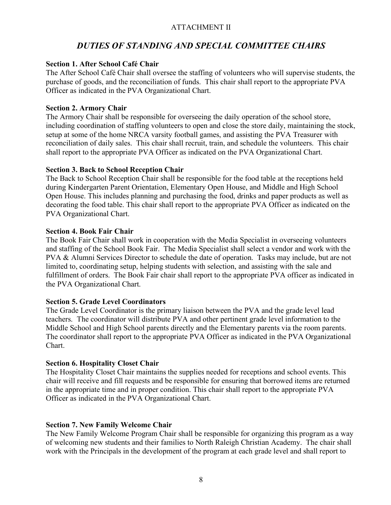# ATTACHMENT II

# *DUTIES OF STANDING AND SPECIAL COMMITTEE CHAIRS*

### **Section 1. After School Café Chair**

The After School Café Chair shall oversee the staffing of volunteers who will supervise students, the purchase of goods, and the reconciliation of funds. This chair shall report to the appropriate PVA Officer as indicated in the PVA Organizational Chart.

#### **Section 2. Armory Chair**

The Armory Chair shall be responsible for overseeing the daily operation of the school store, including coordination of staffing volunteers to open and close the store daily, maintaining the stock, setup at some of the home NRCA varsity football games, and assisting the PVA Treasurer with reconciliation of daily sales. This chair shall recruit, train, and schedule the volunteers. This chair shall report to the appropriate PVA Officer as indicated on the PVA Organizational Chart.

### **Section 3. Back to School Reception Chair**

The Back to School Reception Chair shall be responsible for the food table at the receptions held during Kindergarten Parent Orientation, Elementary Open House, and Middle and High School Open House. This includes planning and purchasing the food, drinks and paper products as well as decorating the food table. This chair shall report to the appropriate PVA Officer as indicated on the PVA Organizational Chart.

### **Section 4. Book Fair Chair**

The Book Fair Chair shall work in cooperation with the Media Specialist in overseeing volunteers and staffing of the School Book Fair. The Media Specialist shall select a vendor and work with the PVA & Alumni Services Director to schedule the date of operation. Tasks may include, but are not limited to, coordinating setup, helping students with selection, and assisting with the sale and fulfillment of orders. The Book Fair chair shall report to the appropriate PVA officer as indicated in the PVA Organizational Chart.

# **Section 5. Grade Level Coordinators**

The Grade Level Coordinator is the primary liaison between the PVA and the grade level lead teachers. The coordinator will distribute PVA and other pertinent grade level information to the Middle School and High School parents directly and the Elementary parents via the room parents. The coordinator shall report to the appropriate PVA Officer as indicated in the PVA Organizational Chart.

#### **Section 6. Hospitality Closet Chair**

The Hospitality Closet Chair maintains the supplies needed for receptions and school events. This chair will receive and fill requests and be responsible for ensuring that borrowed items are returned in the appropriate time and in proper condition. This chair shall report to the appropriate PVA Officer as indicated in the PVA Organizational Chart.

# **Section 7. New Family Welcome Chair**

The New Family Welcome Program Chair shall be responsible for organizing this program as a way of welcoming new students and their families to North Raleigh Christian Academy. The chair shall work with the Principals in the development of the program at each grade level and shall report to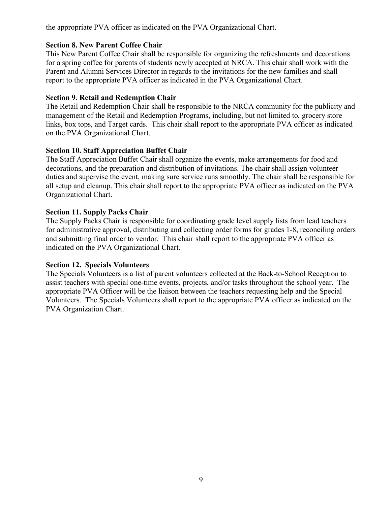the appropriate PVA officer as indicated on the PVA Organizational Chart.

# **Section 8. New Parent Coffee Chair**

This New Parent Coffee Chair shall be responsible for organizing the refreshments and decorations for a spring coffee for parents of students newly accepted at NRCA. This chair shall work with the Parent and Alumni Services Director in regards to the invitations for the new families and shall report to the appropriate PVA officer as indicated in the PVA Organizational Chart.

# **Section 9. Retail and Redemption Chair**

The Retail and Redemption Chair shall be responsible to the NRCA community for the publicity and management of the Retail and Redemption Programs, including, but not limited to, grocery store links, box tops, and Target cards. This chair shall report to the appropriate PVA officer as indicated on the PVA Organizational Chart.

# **Section 10. Staff Appreciation Buffet Chair**

The Staff Appreciation Buffet Chair shall organize the events, make arrangements for food and decorations, and the preparation and distribution of invitations. The chair shall assign volunteer duties and supervise the event, making sure service runs smoothly. The chair shall be responsible for all setup and cleanup. This chair shall report to the appropriate PVA officer as indicated on the PVA Organizational Chart.

# **Section 11. Supply Packs Chair**

The Supply Packs Chair is responsible for coordinating grade level supply lists from lead teachers for administrative approval, distributing and collecting order forms for grades 1-8, reconciling orders and submitting final order to vendor. This chair shall report to the appropriate PVA officer as indicated on the PVA Organizational Chart.

# **Section 12. Specials Volunteers**

The Specials Volunteers is a list of parent volunteers collected at the Back-to-School Reception to assist teachers with special one-time events, projects, and/or tasks throughout the school year. The appropriate PVA Officer will be the liaison between the teachers requesting help and the Special Volunteers. The Specials Volunteers shall report to the appropriate PVA officer as indicated on the PVA Organization Chart.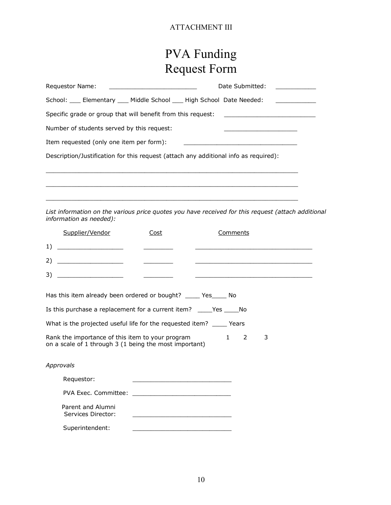# ATTACHMENT III

# PVA Funding Request Form

| Requestor Name:<br><u> 1980 - Jan Samuel Barbara, martin di sebagai personal di sebagai personal di sebagai personal di sebagai per</u> | Date Submitted: National Submitted: |
|-----------------------------------------------------------------------------------------------------------------------------------------|-------------------------------------|
| School: ____ Elementary ____ Middle School ____ High School Date Needed:                                                                |                                     |
| Specific grade or group that will benefit from this request: ____________________                                                       |                                     |
| Number of students served by this request:                                                                                              |                                     |
| Item requested (only one item per form):                                                                                                |                                     |
| Description/Justification for this request (attach any additional info as required):                                                    |                                     |
|                                                                                                                                         |                                     |
|                                                                                                                                         |                                     |
|                                                                                                                                         |                                     |
| List information on the various price quotes you have received for this request (attach additional<br>information as needed):           |                                     |

|                                                                                                                                                   | Supplier/Vendor                                                   | Cost                                                                                                                  | Comments                                                    |  |  |  |
|---------------------------------------------------------------------------------------------------------------------------------------------------|-------------------------------------------------------------------|-----------------------------------------------------------------------------------------------------------------------|-------------------------------------------------------------|--|--|--|
| 1)                                                                                                                                                |                                                                   |                                                                                                                       |                                                             |  |  |  |
| 2)                                                                                                                                                |                                                                   |                                                                                                                       |                                                             |  |  |  |
| 3)                                                                                                                                                |                                                                   |                                                                                                                       | <u> 1989 - Andrea Stadt Britain, amerikansk politiker (</u> |  |  |  |
|                                                                                                                                                   | Has this item already been ordered or bought? ______ Yes______ No |                                                                                                                       |                                                             |  |  |  |
| Is this purchase a replacement for a current item? _____Yes ______No                                                                              |                                                                   |                                                                                                                       |                                                             |  |  |  |
| What is the projected useful life for the requested item? ______ Years                                                                            |                                                                   |                                                                                                                       |                                                             |  |  |  |
| $\mathbf{1}$<br>Rank the importance of this item to your program<br>$\overline{2}$<br>3<br>on a scale of 1 through 3 (1 being the most important) |                                                                   |                                                                                                                       |                                                             |  |  |  |
|                                                                                                                                                   | Approvals                                                         |                                                                                                                       |                                                             |  |  |  |
|                                                                                                                                                   | Requestor:                                                        | <u> 1989 - Johann Harry Harry Harry Harry Harry Harry Harry Harry Harry Harry Harry Harry Harry Harry Harry Harry</u> |                                                             |  |  |  |
|                                                                                                                                                   |                                                                   |                                                                                                                       |                                                             |  |  |  |
|                                                                                                                                                   | Parent and Alumni<br>Services Director:                           |                                                                                                                       |                                                             |  |  |  |
|                                                                                                                                                   | Superintendent:                                                   |                                                                                                                       |                                                             |  |  |  |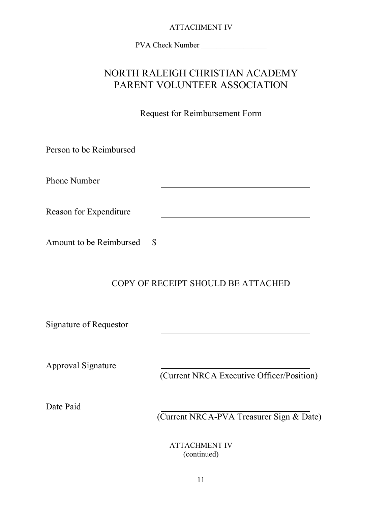# ATTACHMENT IV

PVA Check Number

# NORTH RALEIGH CHRISTIAN ACADEMY PARENT VOLUNTEER ASSOCIATION

Request for Reimbursement Form

| Person to be Reimbursed       |                                           |
|-------------------------------|-------------------------------------------|
| <b>Phone Number</b>           |                                           |
| Reason for Expenditure        |                                           |
| Amount to be Reimbursed       | $\sim$                                    |
|                               | COPY OF RECEIPT SHOULD BE ATTACHED        |
| <b>Signature of Requestor</b> |                                           |
| <b>Approval Signature</b>     | (Current NRCA Executive Officer/Position) |
| Date Paid                     | (Current NRCA-PVA Treasurer Sign & Date)  |
|                               | <b>ATTACHMENT IV</b><br>(continued)       |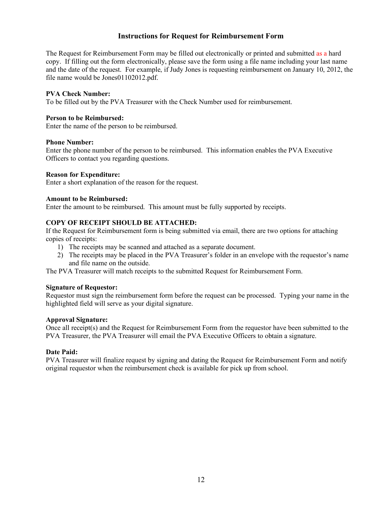#### **Instructions for Request for Reimbursement Form**

The Request for Reimbursement Form may be filled out electronically or printed and submitted as a hard copy. If filling out the form electronically, please save the form using a file name including your last name and the date of the request. For example, if Judy Jones is requesting reimbursement on January 10, 2012, the file name would be Jones01102012.pdf.

#### **PVA Check Number:**

To be filled out by the PVA Treasurer with the Check Number used for reimbursement.

#### **Person to be Reimbursed:**

Enter the name of the person to be reimbursed.

#### **Phone Number:**

Enter the phone number of the person to be reimbursed. This information enables the PVA Executive Officers to contact you regarding questions.

#### **Reason for Expenditure:**

Enter a short explanation of the reason for the request.

#### **Amount to be Reimbursed:**

Enter the amount to be reimbursed. This amount must be fully supported by receipts.

#### **COPY OF RECEIPT SHOULD BE ATTACHED:**

If the Request for Reimbursement form is being submitted via email, there are two options for attaching copies of receipts:

- 1) The receipts may be scanned and attached as a separate document.
- 2) The receipts may be placed in the PVA Treasurer's folder in an envelope with the requestor's name and file name on the outside.

The PVA Treasurer will match receipts to the submitted Request for Reimbursement Form.

#### **Signature of Requestor:**

Requestor must sign the reimbursement form before the request can be processed. Typing your name in the highlighted field will serve as your digital signature.

#### **Approval Signature:**

Once all receipt(s) and the Request for Reimbursement Form from the requestor have been submitted to the PVA Treasurer, the PVA Treasurer will email the PVA Executive Officers to obtain a signature.

#### **Date Paid:**

PVA Treasurer will finalize request by signing and dating the Request for Reimbursement Form and notify original requestor when the reimbursement check is available for pick up from school.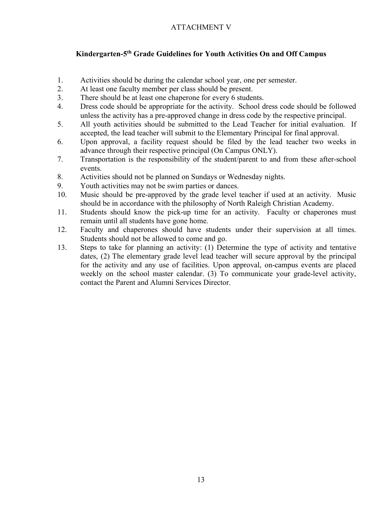# ATTACHMENT V

# **Kindergarten-5th Grade Guidelines for Youth Activities On and Off Campus**

- 1. Activities should be during the calendar school year, one per semester.
- 2. At least one faculty member per class should be present.
- 3. There should be at least one chaperone for every 6 students.
- 4. Dress code should be appropriate for the activity. School dress code should be followed unless the activity has a pre-approved change in dress code by the respective principal.
- 5. All youth activities should be submitted to the Lead Teacher for initial evaluation. If accepted, the lead teacher will submit to the Elementary Principal for final approval.
- 6. Upon approval, a facility request should be filed by the lead teacher two weeks in advance through their respective principal (On Campus ONLY).
- 7. Transportation is the responsibility of the student/parent to and from these after-school events.
- 8. Activities should not be planned on Sundays or Wednesday nights.
- 9. Youth activities may not be swim parties or dances.
- 10. Music should be pre-approved by the grade level teacher if used at an activity. Music should be in accordance with the philosophy of North Raleigh Christian Academy.
- 11. Students should know the pick-up time for an activity. Faculty or chaperones must remain until all students have gone home.
- 12. Faculty and chaperones should have students under their supervision at all times. Students should not be allowed to come and go.
- 13. Steps to take for planning an activity: (1) Determine the type of activity and tentative dates, (2) The elementary grade level lead teacher will secure approval by the principal for the activity and any use of facilities. Upon approval, on-campus events are placed weekly on the school master calendar. (3) To communicate your grade-level activity, contact the Parent and Alumni Services Director.